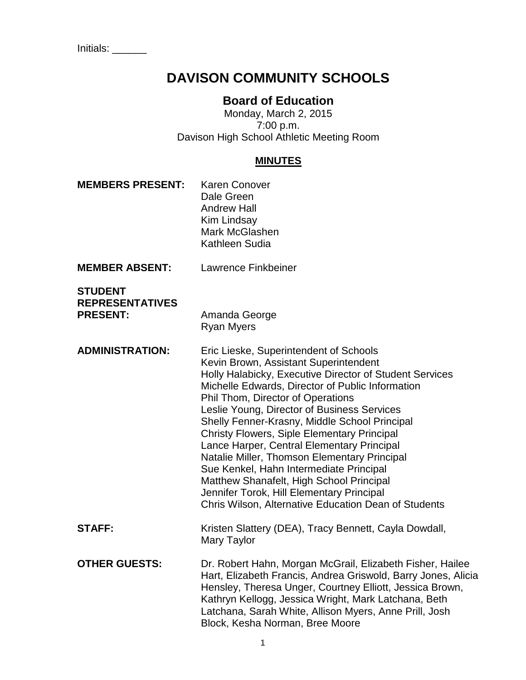# **DAVISON COMMUNITY SCHOOLS**

# **Board of Education**

Monday, March 2, 2015 7:00 p.m. Davison High School Athletic Meeting Room

#### **MINUTES**

| <b>MEMBERS PRESENT:</b>                                     | <b>Karen Conover</b><br>Dale Green<br><b>Andrew Hall</b><br>Kim Lindsay<br>Mark McGlashen<br>Kathleen Sudia                                                                                                                                                                                                                                                                                                                                                                                                                                                                                                                                                                         |
|-------------------------------------------------------------|-------------------------------------------------------------------------------------------------------------------------------------------------------------------------------------------------------------------------------------------------------------------------------------------------------------------------------------------------------------------------------------------------------------------------------------------------------------------------------------------------------------------------------------------------------------------------------------------------------------------------------------------------------------------------------------|
| <b>MEMBER ABSENT:</b>                                       | Lawrence Finkbeiner                                                                                                                                                                                                                                                                                                                                                                                                                                                                                                                                                                                                                                                                 |
| <b>STUDENT</b><br><b>REPRESENTATIVES</b><br><b>PRESENT:</b> | Amanda George<br><b>Ryan Myers</b>                                                                                                                                                                                                                                                                                                                                                                                                                                                                                                                                                                                                                                                  |
| <b>ADMINISTRATION:</b>                                      | Eric Lieske, Superintendent of Schools<br>Kevin Brown, Assistant Superintendent<br>Holly Halabicky, Executive Director of Student Services<br>Michelle Edwards, Director of Public Information<br>Phil Thom, Director of Operations<br>Leslie Young, Director of Business Services<br>Shelly Fenner-Krasny, Middle School Principal<br><b>Christy Flowers, Siple Elementary Principal</b><br>Lance Harper, Central Elementary Principal<br>Natalie Miller, Thomson Elementary Principal<br>Sue Kenkel, Hahn Intermediate Principal<br>Matthew Shanafelt, High School Principal<br>Jennifer Torok, Hill Elementary Principal<br>Chris Wilson, Alternative Education Dean of Students |
| <b>STAFF:</b>                                               | Kristen Slattery (DEA), Tracy Bennett, Cayla Dowdall,                                                                                                                                                                                                                                                                                                                                                                                                                                                                                                                                                                                                                               |

Mary Taylor

**OTHER GUESTS:** Dr. Robert Hahn, Morgan McGrail, Elizabeth Fisher, Hailee Hart, Elizabeth Francis, Andrea Griswold, Barry Jones, Alicia Hensley, Theresa Unger, Courtney Elliott, Jessica Brown, Kathryn Kellogg, Jessica Wright, Mark Latchana, Beth Latchana, Sarah White, Allison Myers, Anne Prill, Josh Block, Kesha Norman, Bree Moore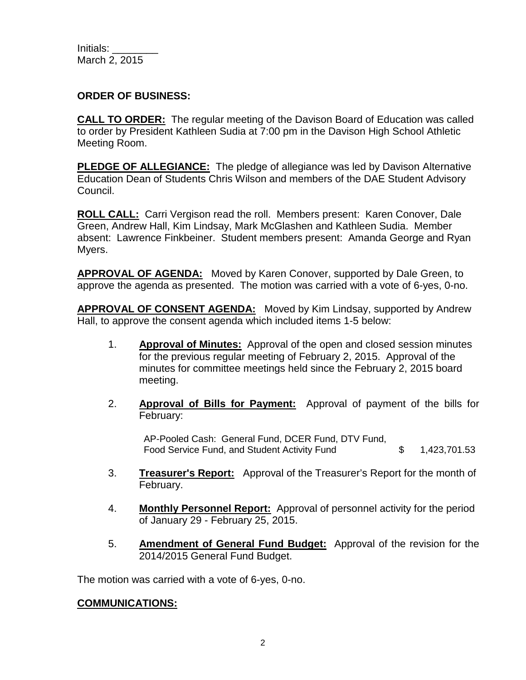Initials: March 2, 2015

## **ORDER OF BUSINESS:**

**CALL TO ORDER:** The regular meeting of the Davison Board of Education was called to order by President Kathleen Sudia at 7:00 pm in the Davison High School Athletic Meeting Room.

**PLEDGE OF ALLEGIANCE:** The pledge of allegiance was led by Davison Alternative Education Dean of Students Chris Wilson and members of the DAE Student Advisory Council.

**ROLL CALL:** Carri Vergison read the roll. Members present: Karen Conover, Dale Green, Andrew Hall, Kim Lindsay, Mark McGlashen and Kathleen Sudia. Member absent: Lawrence Finkbeiner. Student members present: Amanda George and Ryan Myers.

**APPROVAL OF AGENDA:** Moved by Karen Conover, supported by Dale Green, to approve the agenda as presented. The motion was carried with a vote of 6-yes, 0-no.

**APPROVAL OF CONSENT AGENDA:** Moved by Kim Lindsay, supported by Andrew Hall, to approve the consent agenda which included items 1-5 below:

- 1. **Approval of Minutes:** Approval of the open and closed session minutes for the previous regular meeting of February 2, 2015. Approval of the minutes for committee meetings held since the February 2, 2015 board meeting.
- 2. **Approval of Bills for Payment:** Approval of payment of the bills for February:

AP-Pooled Cash: General Fund, DCER Fund, DTV Fund, Food Service Fund, and Student Activity Fund  $$ 1,423,701.53$ 

- 3. **Treasurer's Report:** Approval of the Treasurer's Report for the month of February.
- 4. **Monthly Personnel Report:** Approval of personnel activity for the period of January 29 - February 25, 2015.
- 5. **Amendment of General Fund Budget:** Approval of the revision for the 2014/2015 General Fund Budget.

The motion was carried with a vote of 6-yes, 0-no.

#### **COMMUNICATIONS:**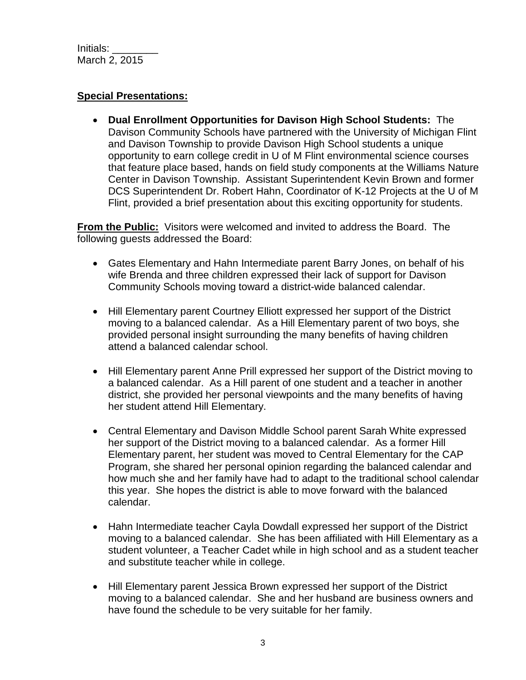Initials: \_\_\_\_\_\_\_\_ March 2, 2015

## **Special Presentations:**

• **Dual Enrollment Opportunities for Davison High School Students:** The Davison Community Schools have partnered with the University of Michigan Flint and Davison Township to provide Davison High School students a unique opportunity to earn college credit in U of M Flint environmental science courses that feature place based, hands on field study components at the Williams Nature Center in Davison Township. Assistant Superintendent Kevin Brown and former DCS Superintendent Dr. Robert Hahn, Coordinator of K-12 Projects at the U of M Flint, provided a brief presentation about this exciting opportunity for students.

**From the Public:** Visitors were welcomed and invited to address the Board. The following guests addressed the Board:

- Gates Elementary and Hahn Intermediate parent Barry Jones, on behalf of his wife Brenda and three children expressed their lack of support for Davison Community Schools moving toward a district-wide balanced calendar.
- Hill Elementary parent Courtney Elliott expressed her support of the District moving to a balanced calendar. As a Hill Elementary parent of two boys, she provided personal insight surrounding the many benefits of having children attend a balanced calendar school.
- Hill Elementary parent Anne Prill expressed her support of the District moving to a balanced calendar. As a Hill parent of one student and a teacher in another district, she provided her personal viewpoints and the many benefits of having her student attend Hill Elementary.
- Central Elementary and Davison Middle School parent Sarah White expressed her support of the District moving to a balanced calendar. As a former Hill Elementary parent, her student was moved to Central Elementary for the CAP Program, she shared her personal opinion regarding the balanced calendar and how much she and her family have had to adapt to the traditional school calendar this year. She hopes the district is able to move forward with the balanced calendar.
- Hahn Intermediate teacher Cayla Dowdall expressed her support of the District moving to a balanced calendar. She has been affiliated with Hill Elementary as a student volunteer, a Teacher Cadet while in high school and as a student teacher and substitute teacher while in college.
- Hill Elementary parent Jessica Brown expressed her support of the District moving to a balanced calendar. She and her husband are business owners and have found the schedule to be very suitable for her family.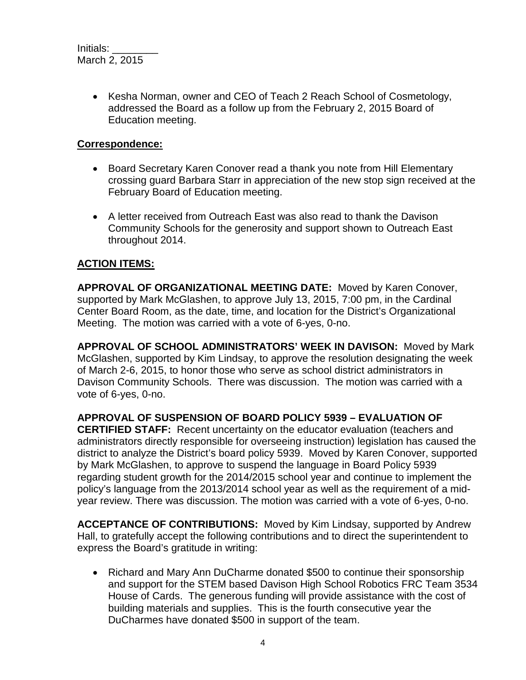• Kesha Norman, owner and CEO of Teach 2 Reach School of Cosmetology, addressed the Board as a follow up from the February 2, 2015 Board of Education meeting.

## **Correspondence:**

- Board Secretary Karen Conover read a thank you note from Hill Elementary crossing guard Barbara Starr in appreciation of the new stop sign received at the February Board of Education meeting.
- A letter received from Outreach East was also read to thank the Davison Community Schools for the generosity and support shown to Outreach East throughout 2014.

# **ACTION ITEMS:**

**APPROVAL OF ORGANIZATIONAL MEETING DATE:** Moved by Karen Conover, supported by Mark McGlashen, to approve July 13, 2015, 7:00 pm, in the Cardinal Center Board Room, as the date, time, and location for the District's Organizational Meeting. The motion was carried with a vote of 6-yes, 0-no.

**APPROVAL OF SCHOOL ADMINISTRATORS' WEEK IN DAVISON:** Moved by Mark McGlashen, supported by Kim Lindsay, to approve the resolution designating the week of March 2-6, 2015, to honor those who serve as school district administrators in Davison Community Schools. There was discussion. The motion was carried with a vote of 6-yes, 0-no.

#### **APPROVAL OF SUSPENSION OF BOARD POLICY 5939 – EVALUATION OF**

**CERTIFIED STAFF:** Recent uncertainty on the educator evaluation (teachers and administrators directly responsible for overseeing instruction) legislation has caused the district to analyze the District's board policy 5939. Moved by Karen Conover, supported by Mark McGlashen, to approve to suspend the language in Board Policy 5939 regarding student growth for the 2014/2015 school year and continue to implement the policy's language from the 2013/2014 school year as well as the requirement of a midyear review. There was discussion. The motion was carried with a vote of 6-yes, 0-no.

**ACCEPTANCE OF CONTRIBUTIONS:** Moved by Kim Lindsay, supported by Andrew Hall, to gratefully accept the following contributions and to direct the superintendent to express the Board's gratitude in writing:

• Richard and Mary Ann DuCharme donated \$500 to continue their sponsorship and support for the STEM based Davison High School Robotics FRC Team 3534 House of Cards. The generous funding will provide assistance with the cost of building materials and supplies. This is the fourth consecutive year the DuCharmes have donated \$500 in support of the team.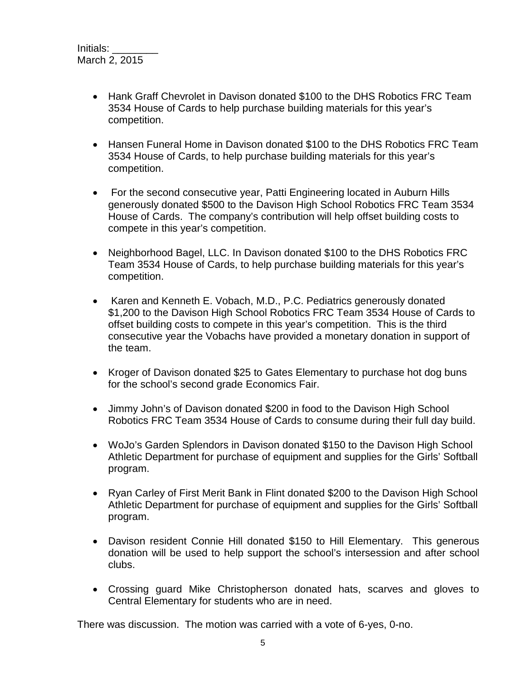- Hank Graff Chevrolet in Davison donated \$100 to the DHS Robotics FRC Team 3534 House of Cards to help purchase building materials for this year's competition.
- Hansen Funeral Home in Davison donated \$100 to the DHS Robotics FRC Team 3534 House of Cards, to help purchase building materials for this year's competition.
- For the second consecutive year, Patti Engineering located in Auburn Hills generously donated \$500 to the Davison High School Robotics FRC Team 3534 House of Cards. The company's contribution will help offset building costs to compete in this year's competition.
- Neighborhood Bagel, LLC. In Davison donated \$100 to the DHS Robotics FRC Team 3534 House of Cards, to help purchase building materials for this year's competition.
- Karen and Kenneth E. Vobach, M.D., P.C. Pediatrics generously donated \$1,200 to the Davison High School Robotics FRC Team 3534 House of Cards to offset building costs to compete in this year's competition. This is the third consecutive year the Vobachs have provided a monetary donation in support of the team.
- Kroger of Davison donated \$25 to Gates Elementary to purchase hot dog buns for the school's second grade Economics Fair.
- Jimmy John's of Davison donated \$200 in food to the Davison High School Robotics FRC Team 3534 House of Cards to consume during their full day build.
- WoJo's Garden Splendors in Davison donated \$150 to the Davison High School Athletic Department for purchase of equipment and supplies for the Girls' Softball program.
- Ryan Carley of First Merit Bank in Flint donated \$200 to the Davison High School Athletic Department for purchase of equipment and supplies for the Girls' Softball program.
- Davison resident Connie Hill donated \$150 to Hill Elementary. This generous donation will be used to help support the school's intersession and after school clubs.
- Crossing guard Mike Christopherson donated hats, scarves and gloves to Central Elementary for students who are in need.

There was discussion. The motion was carried with a vote of 6-yes, 0-no.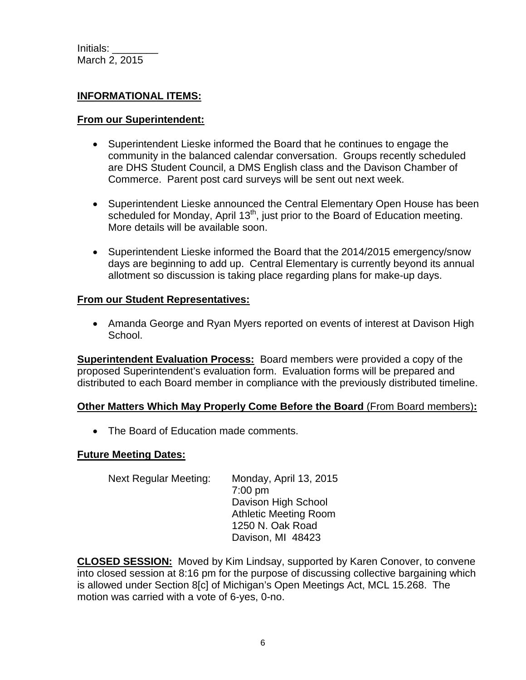## **INFORMATIONAL ITEMS:**

#### **From our Superintendent:**

- Superintendent Lieske informed the Board that he continues to engage the community in the balanced calendar conversation. Groups recently scheduled are DHS Student Council, a DMS English class and the Davison Chamber of Commerce. Parent post card surveys will be sent out next week.
- Superintendent Lieske announced the Central Elementary Open House has been scheduled for Monday, April 13<sup>th</sup>, just prior to the Board of Education meeting. More details will be available soon.
- Superintendent Lieske informed the Board that the 2014/2015 emergency/snow days are beginning to add up. Central Elementary is currently beyond its annual allotment so discussion is taking place regarding plans for make-up days.

#### **From our Student Representatives:**

• Amanda George and Ryan Myers reported on events of interest at Davison High School.

**Superintendent Evaluation Process:** Board members were provided a copy of the proposed Superintendent's evaluation form. Evaluation forms will be prepared and distributed to each Board member in compliance with the previously distributed timeline.

# **Other Matters Which May Properly Come Before the Board** (From Board members)**:**

• The Board of Education made comments.

#### **Future Meeting Dates:**

Next Regular Meeting: Monday, April 13, 2015 7:00 pm Davison High School Athletic Meeting Room 1250 N. Oak Road Davison, MI 48423

**CLOSED SESSION:** Moved by Kim Lindsay, supported by Karen Conover, to convene into closed session at 8:16 pm for the purpose of discussing collective bargaining which is allowed under Section 8[c] of Michigan's Open Meetings Act, MCL 15.268. The motion was carried with a vote of 6-yes, 0-no.